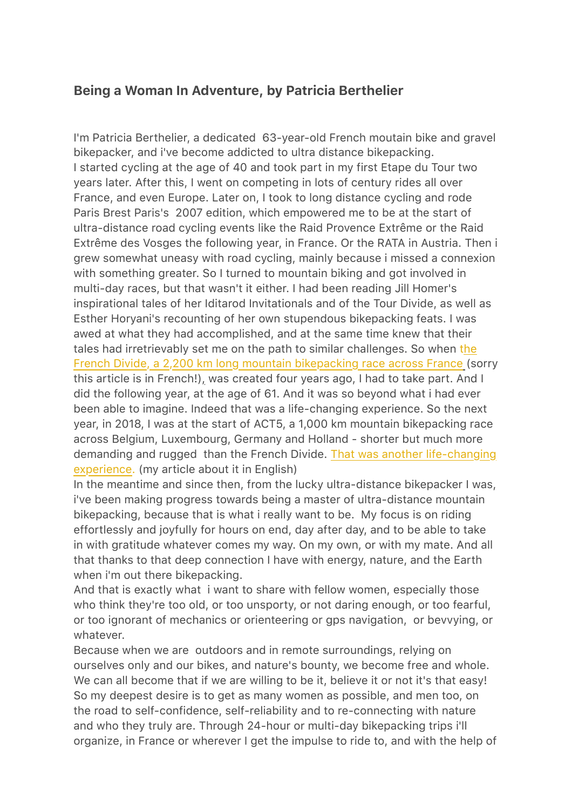## **Being a Woman In Adventure, by Patricia Berthelier**

I'm Patricia Berthelier, a dedicated 63-year-old French moutain bike and gravel bikepacker, and i've become addicted to ultra distance bikepacking. I started cycling at the age of 40 and took part in my first Etape du Tour two years later. After this, I went on competing in lots of century rides all over France, and even Europe. Later on, I took to long distance cycling and rode Paris Brest Paris's 2007 edition, which empowered me to be at the start of ultra-distance road cycling events like the Raid Provence Extrême or the Raid Extrême des Vosges the following year, in France. Or the RATA in Austria. Then i grew somewhat uneasy with road cycling, mainly because i missed a connexion with something greater. So I turned to mountain biking and got involved in multi-day races, but that wasn't it either. I had been reading Jill Homer's inspirational tales of her Iditarod Invitationals and of the Tour Divide, as well as Esther Horyani's recounting of her own stupendous bikepacking feats. I was awed at what they had accomplished, and at the same time knew that their tales had irretrievably set me on the path to similar challenges. So when [the](http://www.patbert.net/2017/10/french-divide-2017.html)  [French Divide, a 2,200 km long mountain bikepacking race across France](http://www.patbert.net/2017/10/french-divide-2017.html) (sorry this article is in French!), was created four years ago, I had to take part. And I did the following year, at the age of 61. And it was so beyond what i had ever been able to imagine. Indeed that was a life-changing experience. So the next year, in 2018, I was at the start of ACT5, a 1,000 km mountain bikepacking race across Belgium, Luxembourg, Germany and Holland - shorter but much more demanding and rugged than the French Divide. [That was another life-changing](http://www.patbert.net/2018/08/what-a-fabulous-a-cross-the-5.html)  [experience.](http://www.patbert.net/2018/08/what-a-fabulous-a-cross-the-5.html) (my article about it in English)

In the meantime and since then, from the lucky ultra-distance bikepacker I was, i've been making progress towards being a master of ultra-distance mountain bikepacking, because that is what i really want to be. My focus is on riding effortlessly and joyfully for hours on end, day after day, and to be able to take in with gratitude whatever comes my way. On my own, or with my mate. And all that thanks to that deep connection I have with energy, nature, and the Earth when i'm out there bikepacking.

And that is exactly what i want to share with fellow women, especially those who think they're too old, or too unsporty, or not daring enough, or too fearful, or too ignorant of mechanics or orienteering or gps navigation, or bevvying, or whatever.

Because when we are outdoors and in remote surroundings, relying on ourselves only and our bikes, and nature's bounty, we become free and whole. We can all become that if we are willing to be it, believe it or not it's that easy! So my deepest desire is to get as many women as possible, and men too, on the road to self-confidence, self-reliability and to re-connecting with nature and who they truly are. Through 24-hour or multi-day bikepacking trips i'll organize, in France or wherever I get the impulse to ride to, and with the help of